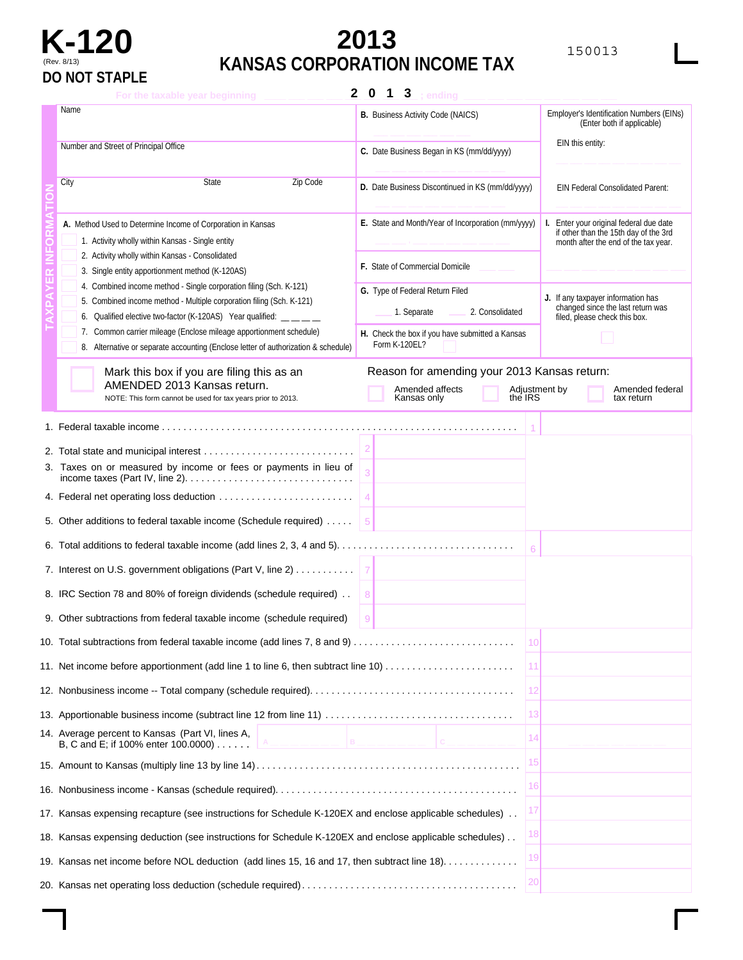

## **K-120 2013** <sup>150013</sup> (Rev. 8/13) **KANSAS CORPORATION INCOME TAX**

| $\mathbf{2}$<br>$\bf{0}$<br>$\mathbf{3}$<br>1<br>; ending<br>For the taxable year beginning                                               |                                                    |                                                                                  |  |  |  |
|-------------------------------------------------------------------------------------------------------------------------------------------|----------------------------------------------------|----------------------------------------------------------------------------------|--|--|--|
| Name                                                                                                                                      | <b>B.</b> Business Activity Code (NAICS)           | Employer's Identification Numbers (EINs)<br>(Enter both if applicable)           |  |  |  |
| Number and Street of Principal Office                                                                                                     | C. Date Business Began in KS (mm/dd/yyyy)          | EIN this entity:                                                                 |  |  |  |
|                                                                                                                                           |                                                    |                                                                                  |  |  |  |
| Zip Code<br>City<br>State                                                                                                                 | D. Date Business Discontinued in KS (mm/dd/yyyy)   | EIN Federal Consolidated Parent:                                                 |  |  |  |
| A. Method Used to Determine Income of Corporation in Kansas<br>1. Activity wholly within Kansas - Single entity                           | E. State and Month/Year of Incorporation (mm/yyyy) | I. Enter your original federal due date<br>if other than the 15th day of the 3rd |  |  |  |
| 2. Activity wholly within Kansas - Consolidated                                                                                           |                                                    | month after the end of the tax year.                                             |  |  |  |
| 3. Single entity apportionment method (K-120AS)                                                                                           | <b>F.</b> State of Commercial Domicile             |                                                                                  |  |  |  |
| 4. Combined income method - Single corporation filing (Sch. K-121)                                                                        | G. Type of Federal Return Filed                    | J. If any taxpayer information has                                               |  |  |  |
| 5. Combined income method - Multiple corporation filing (Sch. K-121)<br>6. Qualified elective two-factor (K-120AS) Year qualified: __ _ _ | 2. Consolidated<br>1. Separate                     | changed since the last return was<br>filed, please check this box.               |  |  |  |
| 7. Common carrier mileage (Enclose mileage apportionment schedule)                                                                        | H. Check the box if you have submitted a Kansas    |                                                                                  |  |  |  |
| 8. Alternative or separate accounting (Enclose letter of authorization & schedule)                                                        | Form K-120EL?                                      |                                                                                  |  |  |  |
| Mark this box if you are filing this as an                                                                                                | Reason for amending your 2013 Kansas return:       |                                                                                  |  |  |  |
| AMENDED 2013 Kansas return.<br>NOTE: This form cannot be used for tax years prior to 2013.                                                | Amended affects<br>the IRS<br>Kansas only          | Adjustment by<br>Amended federal<br>tax return                                   |  |  |  |
|                                                                                                                                           |                                                    |                                                                                  |  |  |  |
|                                                                                                                                           |                                                    |                                                                                  |  |  |  |
| 3. Taxes on or measured by income or fees or payments in lieu of                                                                          |                                                    |                                                                                  |  |  |  |
|                                                                                                                                           |                                                    |                                                                                  |  |  |  |
| 5. Other additions to federal taxable income (Schedule required)                                                                          |                                                    |                                                                                  |  |  |  |
|                                                                                                                                           | 6                                                  |                                                                                  |  |  |  |
| 7. Interest on U.S. government obligations (Part V, line 2)                                                                               |                                                    |                                                                                  |  |  |  |
| 8. IRC Section 78 and 80% of foreign dividends (schedule required)                                                                        | 8                                                  |                                                                                  |  |  |  |
| 9. Other subtractions from federal taxable income (schedule required)                                                                     | 9                                                  |                                                                                  |  |  |  |
|                                                                                                                                           | 10                                                 |                                                                                  |  |  |  |
| 11. Net income before apportionment (add line 1 to line 6, then subtract line 10)                                                         | 11                                                 |                                                                                  |  |  |  |
|                                                                                                                                           | 12                                                 |                                                                                  |  |  |  |
|                                                                                                                                           | 13                                                 |                                                                                  |  |  |  |
| 14. Average percent to Kansas (Part VI, lines A,<br>B<br>B, C and E; if 100% enter 100.0000)                                              | 14<br>IC.                                          |                                                                                  |  |  |  |
|                                                                                                                                           | 15                                                 |                                                                                  |  |  |  |
|                                                                                                                                           | 16                                                 |                                                                                  |  |  |  |
| 17. Kansas expensing recapture (see instructions for Schedule K-120EX and enclose applicable schedules)                                   |                                                    |                                                                                  |  |  |  |
| 18. Kansas expensing deduction (see instructions for Schedule K-120EX and enclose applicable schedules)                                   | 18                                                 |                                                                                  |  |  |  |
| 19. Kansas net income before NOL deduction (add lines 15, 16 and 17, then subtract line 18).                                              | 19                                                 |                                                                                  |  |  |  |
|                                                                                                                                           | 20                                                 |                                                                                  |  |  |  |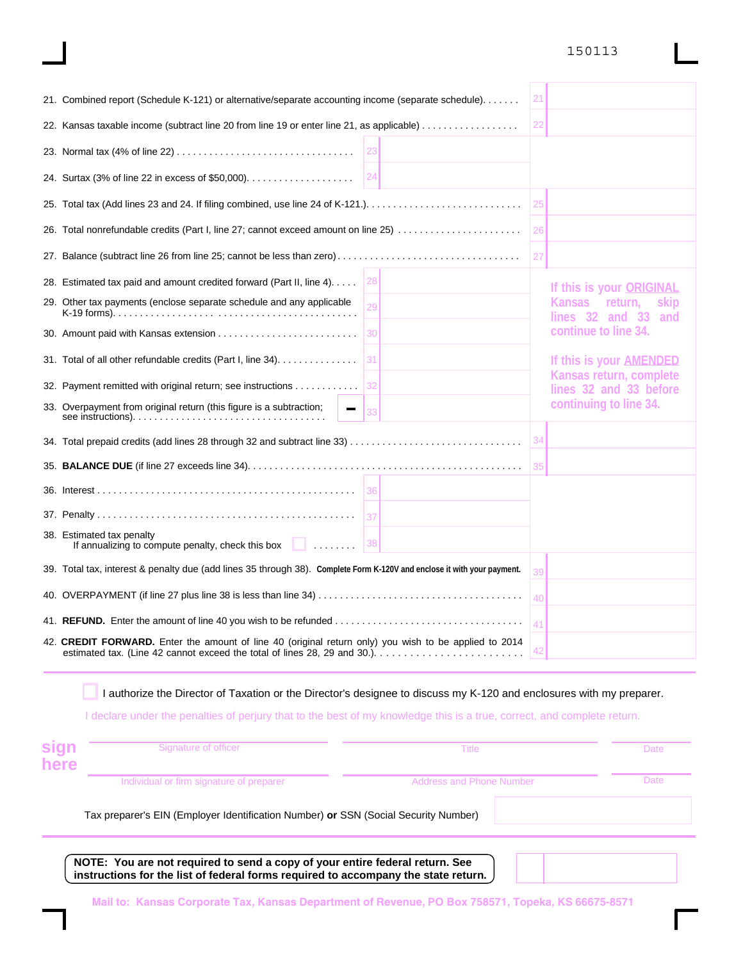#### 150113

| 21. Combined report (Schedule K-121) or alternative/separate accounting income (separate schedule).                     | 21 |                                                      |
|-------------------------------------------------------------------------------------------------------------------------|----|------------------------------------------------------|
| 22. Kansas taxable income (subtract line 20 from line 19 or enter line 21, as applicable)                               | 22 |                                                      |
|                                                                                                                         |    |                                                      |
| 24                                                                                                                      |    |                                                      |
|                                                                                                                         | 25 |                                                      |
| 26. Total nonrefundable credits (Part I, line 27; cannot exceed amount on line 25)                                      | 26 |                                                      |
|                                                                                                                         | 27 |                                                      |
| 28. Estimated tax paid and amount credited forward (Part II, line 4)<br>28                                              |    | If this is your ORIGINAL                             |
| 29. Other tax payments (enclose separate schedule and any applicable<br>29                                              |    | Kansas return,<br>skip<br>lines $32$ and $33$<br>and |
|                                                                                                                         |    | continue to line 34.                                 |
| 31. Total of all other refundable credits (Part I, line 34).<br>31                                                      |    | If this is your AMENDED                              |
| 32. Payment remitted with original return; see instructions<br> 32                                                      |    | Kansas return, complete<br>lines 32 and 33 before    |
| 33. Overpayment from original return (this figure is a subtraction;                                                     |    | continuing to line 34.                               |
| 34. Total prepaid credits (add lines 28 through 32 and subtract line 33)                                                | 34 |                                                      |
|                                                                                                                         | 35 |                                                      |
| 36                                                                                                                      |    |                                                      |
|                                                                                                                         |    |                                                      |
| 38. Estimated tax penalty<br> 38<br>If annualizing to compute penalty, check this box $\Box$                            |    |                                                      |
| 39. Total tax, interest & penalty due (add lines 35 through 38). Complete Form K-120V and enclose it with your payment. | 39 |                                                      |
|                                                                                                                         | 40 |                                                      |
|                                                                                                                         | 41 |                                                      |
| 42. CREDIT FORWARD. Enter the amount of line 40 (original return only) you wish to be applied to 2014                   | 42 |                                                      |
|                                                                                                                         |    |                                                      |

I authorize the Director of Taxation or the Director's designee to discuss my K-120 and enclosures with my preparer.

I declare under the penalties of perjury that to the best of my knowledge this is a true, correct, and complete return.

| sign<br>here | Signature of officer                                                                | Title                           | Date |
|--------------|-------------------------------------------------------------------------------------|---------------------------------|------|
|              | Individual or firm signature of preparer                                            | <b>Address and Phone Number</b> | Date |
|              | Tax preparer's EIN (Employer Identification Number) or SSN (Social Security Number) |                                 |      |
|              | . <i>.</i><br>_____                                                                 | .                               |      |

**NOTE: You are not required to send a copy of your entire federal return. See instructions for the list of federal forms required to accompany the state return.**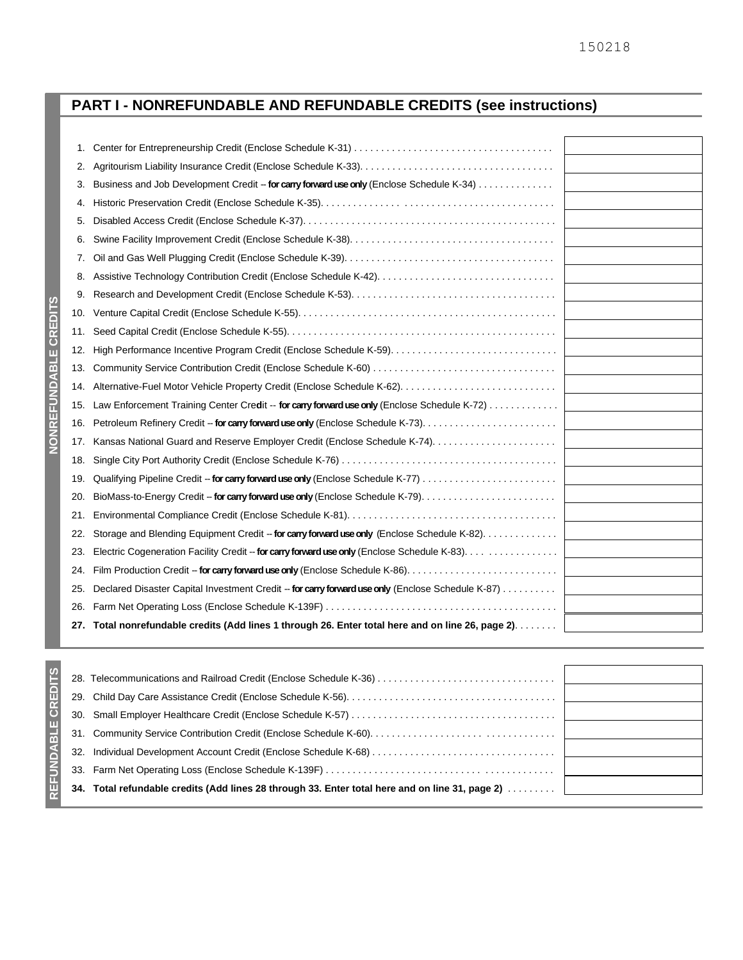### **PART I - NONREFUNDABLE AND REFUNDABLE CREDITS (see instructions)**

| 1.  |                                                                                                   |
|-----|---------------------------------------------------------------------------------------------------|
| 2.  |                                                                                                   |
| З.  | Business and Job Development Credit -- for carry forward use only (Enclose Schedule K-34)         |
| 4.  |                                                                                                   |
| 5.  |                                                                                                   |
| 6.  |                                                                                                   |
| 7.  |                                                                                                   |
| 8.  |                                                                                                   |
| 9.  |                                                                                                   |
| 10. |                                                                                                   |
| 11. |                                                                                                   |
| 12. |                                                                                                   |
| 13. |                                                                                                   |
| 14. |                                                                                                   |
| 15. | Law Enforcement Training Center Credit -- for carry forward use only (Enclose Schedule K-72)      |
| 16. |                                                                                                   |
| 17. |                                                                                                   |
| 18. |                                                                                                   |
| 19. |                                                                                                   |
| 20. |                                                                                                   |
| 21. |                                                                                                   |
| 22. | Storage and Blending Equipment Credit -- for carry forward use only (Enclose Schedule K-82).      |
| 23. | Electric Cogeneration Facility Credit -- for carry forward use only (Enclose Schedule K-83).      |
| 24. |                                                                                                   |
| 25. | Declared Disaster Capital Investment Credit -- for carry forward use only (Enclose Schedule K-87) |
| 26. |                                                                                                   |
| 27. | Total nonrefundable credits (Add lines 1 through 26. Enter total here and on line 26, page 2).    |

| 28. |                                                                                             |
|-----|---------------------------------------------------------------------------------------------|
|     |                                                                                             |
|     |                                                                                             |
|     |                                                                                             |
| 32. |                                                                                             |
|     |                                                                                             |
| 34. | Total refundable credits (Add lines 28 through 33. Enter total here and on line 31, page 2) |
|     |                                                                                             |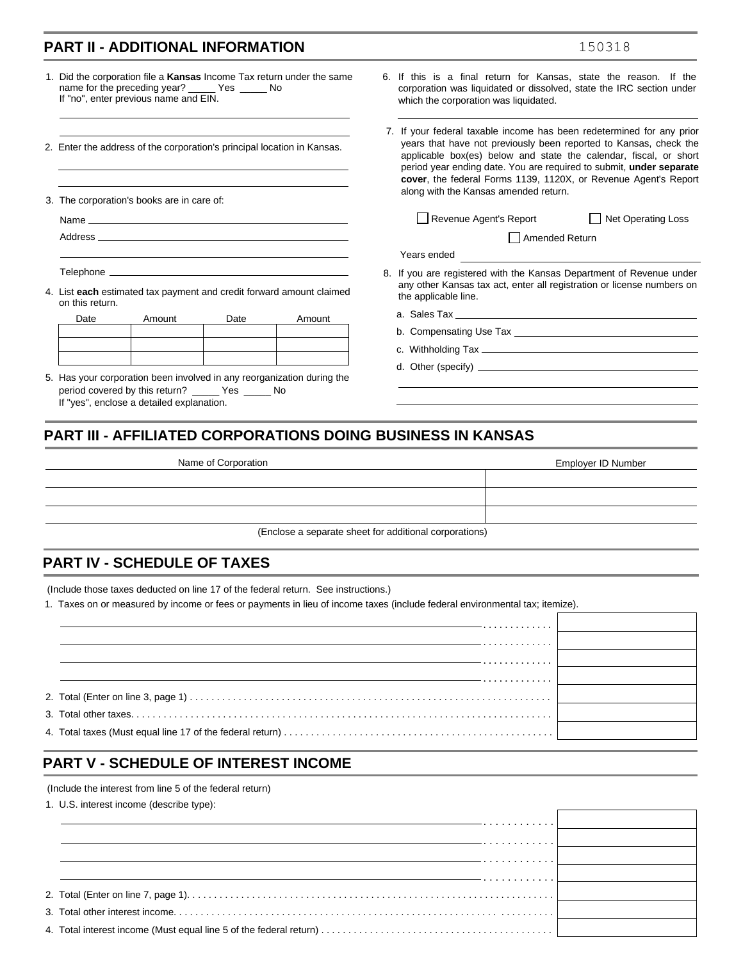#### **PART II - ADDITIONAL INFORMATION**

| 1. Did the corporation file a <b>Kansas</b> Income Tax return under the same |     |  |
|------------------------------------------------------------------------------|-----|--|
| name for the preceding year? Yes                                             | No. |  |
| If "no", enter previous name and EIN.                                        |     |  |

2. Enter the address of the corporation's principal location in Kansas.

3. The corporation's books are in care of:

Address

Telephone \_\_\_\_\_

4. List **each** estimated tax payment and credit forward amount claimed on this return.

| Date | Amount | Date | Amount |
|------|--------|------|--------|
|      |        |      |        |
|      |        |      |        |
|      |        |      |        |

5. Has your corporation been involved in any reorganization during the period covered by this return? \_\_\_\_\_ Yes \_\_\_\_\_ No If "yes", enclose a detailed explanation.

- 6. If this is a final return for Kansas, state the reason. If the corporation was liquidated or dissolved, state the IRC section under which the corporation was liquidated.
- 7. If your federal taxable income has been redetermined for any prior years that have not previously been reported to Kansas, check the applicable box(es) below and state the calendar, fiscal, or short period year ending date. You are required to submit, **under separate cover**, the federal Forms 1139, 1120X, or Revenue Agent's Report along with the Kansas amended return.

Revenue Agent's Report **Net Operating Loss** 

Amended Return

150318

| Years ended |  |
|-------------|--|

- 8. If you are registered with the Kansas Department of Revenue under any other Kansas tax act, enter all registration or license numbers on the applicable line.
	- a. Sales Tax
	- b. Compensating Use Tax
	- c. Withholding Tax
	- d. Other (specify)

#### **PART III - AFFILIATED CORPORATIONS DOING BUSINESS IN KANSAS**

| Name of Corporation                                    | Employer ID Number |
|--------------------------------------------------------|--------------------|
|                                                        |                    |
|                                                        |                    |
|                                                        |                    |
| (Enclose a separate sheet for additional corporations) |                    |

#### **PART IV - SCHEDULE OF TAXES**

(Include those taxes deducted on line 17 of the federal return. See instructions.)

1. Taxes on or measured by income or fees or payments in lieu of income taxes (include federal environmental tax; itemize).

| . |  |
|---|--|
|   |  |
|   |  |
|   |  |
|   |  |
|   |  |

#### **PART V - SCHEDULE OF INTEREST INCOME**

(Include the interest from line 5 of the federal return)

1. U.S. interest income (describe type):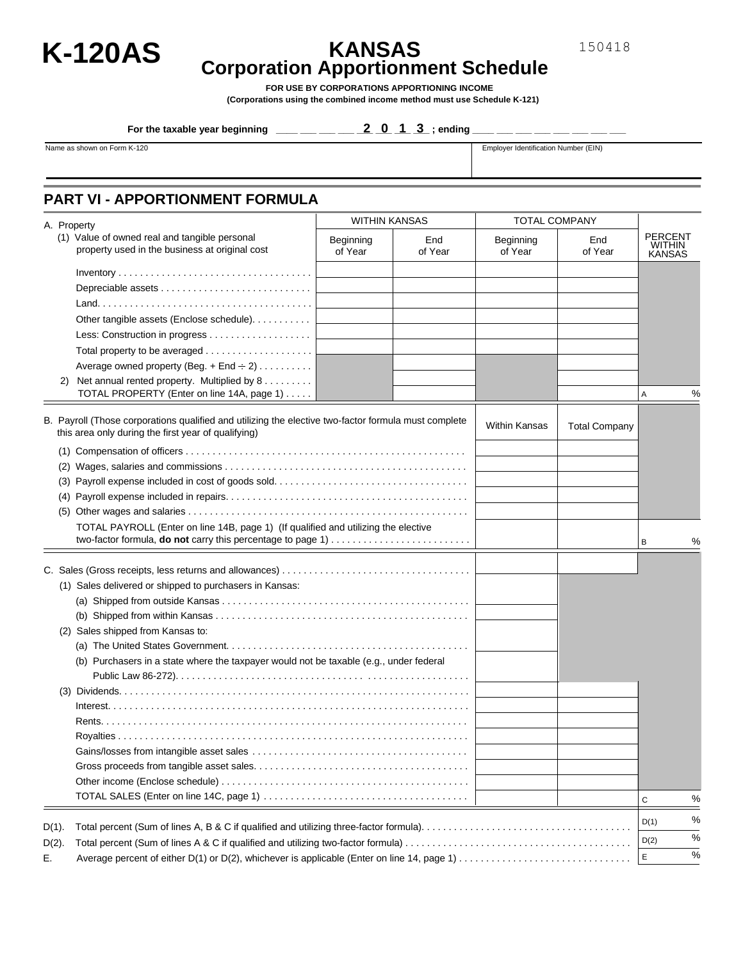

# **K-120AS KANSAS Corporation Apportionment Schedule**

**FOR USE BY CORPORATIONS APPORTIONING INCOME (Corporations using the combined income method must use Schedule K-121)** 

For the taxable year beginning  $\frac{1}{2}$  \_\_\_ \_\_ \_\_ \_\_ \_ \_ \_ \_ 2 \_ 0  $\,\,\,$  1  $\,\,\,$  3  $\,\,$  ; ending \_\_\_ \_\_ \_\_ \_\_ \_\_ \_\_ \_\_ \_\_ \_\_ \_\_ \_\_

Name as shown on Form K-120 **Employer Identification Number (EIN)** Employer Identification Number (EIN)

#### **PART VI - APPORTIONMENT FORMULA**

|          | A. Property                                                                                                                                                 | <b>WITHIN KANSAS</b> |                | <b>TOTAL COMPANY</b> |                      |                                                  |      |
|----------|-------------------------------------------------------------------------------------------------------------------------------------------------------------|----------------------|----------------|----------------------|----------------------|--------------------------------------------------|------|
|          | (1) Value of owned real and tangible personal<br>property used in the business at original cost                                                             | Beginning<br>of Year | End<br>of Year | Beginning<br>of Year | End<br>of Year       | <b>PERCENT</b><br><b>WITHIN</b><br><b>KANSAS</b> |      |
|          |                                                                                                                                                             |                      |                |                      |                      |                                                  |      |
|          |                                                                                                                                                             |                      |                |                      |                      |                                                  |      |
|          |                                                                                                                                                             |                      |                |                      |                      |                                                  |      |
|          | Other tangible assets (Enclose schedule).                                                                                                                   |                      |                |                      |                      |                                                  |      |
|          |                                                                                                                                                             |                      |                |                      |                      |                                                  |      |
|          |                                                                                                                                                             |                      |                |                      |                      |                                                  |      |
|          |                                                                                                                                                             |                      |                |                      |                      |                                                  |      |
|          | Average owned property (Beg. + End $\div$ 2)<br>2) Net annual rented property. Multiplied by 8                                                              |                      |                |                      |                      |                                                  |      |
|          | TOTAL PROPERTY (Enter on line 14A, page 1)                                                                                                                  |                      |                |                      |                      | Α                                                | %    |
|          |                                                                                                                                                             |                      |                |                      |                      |                                                  |      |
|          | B. Payroll (Those corporations qualified and utilizing the elective two-factor formula must complete<br>this area only during the first year of qualifying) |                      |                | <b>Within Kansas</b> | <b>Total Company</b> |                                                  |      |
|          |                                                                                                                                                             |                      |                |                      |                      |                                                  |      |
|          |                                                                                                                                                             |                      |                |                      |                      |                                                  |      |
|          |                                                                                                                                                             |                      |                |                      |                      |                                                  |      |
|          |                                                                                                                                                             |                      |                |                      |                      |                                                  |      |
|          |                                                                                                                                                             |                      |                |                      |                      |                                                  |      |
|          | TOTAL PAYROLL (Enter on line 14B, page 1) (If qualified and utilizing the elective                                                                          |                      |                |                      |                      |                                                  |      |
|          |                                                                                                                                                             |                      |                |                      |                      | В                                                | %    |
|          |                                                                                                                                                             |                      |                |                      |                      |                                                  |      |
|          |                                                                                                                                                             |                      |                |                      |                      |                                                  |      |
|          | (1) Sales delivered or shipped to purchasers in Kansas:                                                                                                     |                      |                |                      |                      |                                                  |      |
|          |                                                                                                                                                             |                      |                |                      |                      |                                                  |      |
|          |                                                                                                                                                             |                      |                |                      |                      |                                                  |      |
|          | (2) Sales shipped from Kansas to:                                                                                                                           |                      |                |                      |                      |                                                  |      |
|          |                                                                                                                                                             |                      |                |                      |                      |                                                  |      |
|          | (b) Purchasers in a state where the taxpayer would not be taxable (e.g., under federal                                                                      |                      |                |                      |                      |                                                  |      |
|          |                                                                                                                                                             |                      |                |                      |                      |                                                  |      |
|          |                                                                                                                                                             |                      |                |                      |                      |                                                  |      |
|          |                                                                                                                                                             |                      |                |                      |                      |                                                  |      |
|          |                                                                                                                                                             |                      |                |                      |                      |                                                  |      |
|          |                                                                                                                                                             |                      |                |                      |                      |                                                  |      |
|          |                                                                                                                                                             |                      |                |                      |                      |                                                  |      |
|          |                                                                                                                                                             |                      |                |                      |                      |                                                  |      |
|          |                                                                                                                                                             |                      |                |                      |                      |                                                  |      |
|          |                                                                                                                                                             |                      |                |                      |                      | C                                                | $\%$ |
|          |                                                                                                                                                             |                      |                |                      |                      |                                                  |      |
| $D(1)$ . |                                                                                                                                                             |                      |                |                      |                      | D(1)                                             | %    |
| $D(2)$ . |                                                                                                                                                             |                      |                |                      |                      | D(2)                                             | $\%$ |
| Е.       | Average percent of either D(1) or D(2), whichever is applicable (Enter on line 14, page 1)                                                                  |                      |                |                      |                      | Ε                                                | $\%$ |

150418